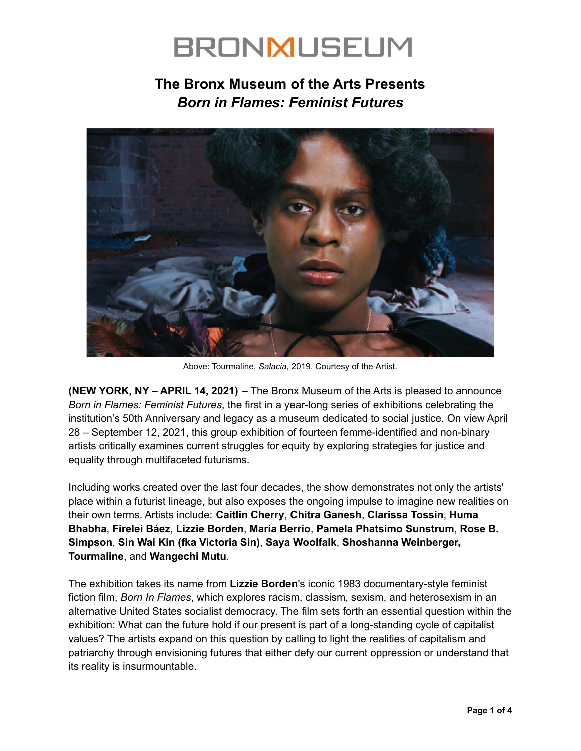### **The Bronx Museum of the Arts Presents** *Born in Flames: Feminist Futures*



Above: Tourmaline, *Salacia*, 2019. Courtesy of the Artist.

**(NEW YORK, NY – APRIL 14, 2021)** – The Bronx Museum of the Arts is pleased to announce *Born in Flames: Feminist Futures*, the first in a year-long series of exhibitions celebrating the institution's 50th Anniversary and legacy as a museum dedicated to social justice. On view April 28 – September 12, 2021, this group exhibition of fourteen femme-identified and non-binary artists critically examines current struggles for equity by exploring strategies for justice and equality through multifaceted futurisms.

Including works created over the last four decades, the show demonstrates not only the artists' place within a futurist lineage, but also exposes the ongoing impulse to imagine new realities on their own terms. Artists include: **Caitlin Cherry**, **Chitra Ganesh**, **Clarissa Tossin**, **Huma Bhabha**, **Firelei Báez**, **Lizzie Borden**, **María Berrío**, **Pamela Phatsimo Sunstrum**, **Rose B. Simpson**, **Sin Wai Kin (fka Victoria Sin)**, **Saya Woolfalk**, **Shoshanna Weinberger, Tourmaline**, and **Wangechi Mutu**.

The exhibition takes its name from **Lizzie Borden**'s iconic 1983 documentary-style feminist fiction film, *Born In Flames*, which explores racism, classism, sexism, and heterosexism in an alternative United States socialist democracy. The film sets forth an essential question within the exhibition: What can the future hold if our present is part of a long-standing cycle of capitalist values? The artists expand on this question by calling to light the realities of capitalism and patriarchy through envisioning futures that either defy our current oppression or understand that its reality is insurmountable.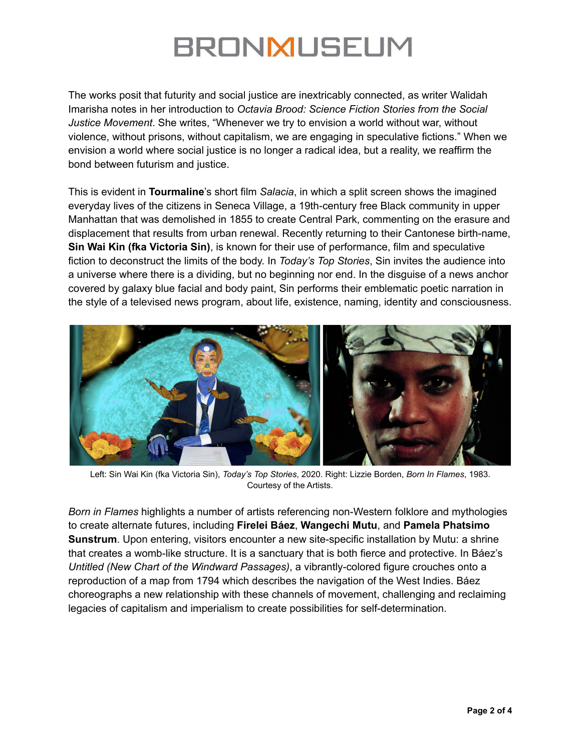The works posit that futurity and social justice are inextricably connected, as writer Walidah Imarisha notes in her introduction to *Octavia Brood: Science Fiction Stories from the Social Justice Movement*. She writes, "Whenever we try to envision a world without war, without violence, without prisons, without capitalism, we are engaging in speculative fictions." When we envision a world where social justice is no longer a radical idea, but a reality, we reaffirm the bond between futurism and justice.

This is evident in **Tourmaline**'s short film *Salacia*, in which a split screen shows the imagined everyday lives of the citizens in Seneca Village, a 19th-century free Black community in upper Manhattan that was demolished in 1855 to create Central Park, commenting on the erasure and displacement that results from urban renewal. Recently returning to their Cantonese birth-name, **Sin Wai Kin (fka Victoria Sin)**, is known for their use of performance, film and speculative fiction to deconstruct the limits of the body. In *Today's Top Stories*, Sin invites the audience into a universe where there is a dividing, but no beginning nor end. In the disguise of a news anchor covered by galaxy blue facial and body paint, Sin performs their emblematic poetic narration in the style of a televised news program, about life, existence, naming, identity and consciousness.



Left: Sin Wai Kin (fka Victoria Sin), *Today's Top Stories*, 2020. Right: Lizzie Borden, *Born In Flames*, 1983. Courtesy of the Artists.

*Born in Flames* highlights a number of artists referencing non-Western folklore and mythologies to create alternate futures, including **Firelei Báez**, **Wangechi Mutu**, and **Pamela Phatsimo Sunstrum**. Upon entering, visitors encounter a new site-specific installation by Mutu: a shrine that creates a womb-like structure. It is a sanctuary that is both fierce and protective. In Báez's *Untitled (New Chart of the Windward Passages)*, a vibrantly-colored figure crouches onto a reproduction of a map from 1794 which describes the navigation of the West Indies. Báez choreographs a new relationship with these channels of movement, challenging and reclaiming legacies of capitalism and imperialism to create possibilities for self-determination.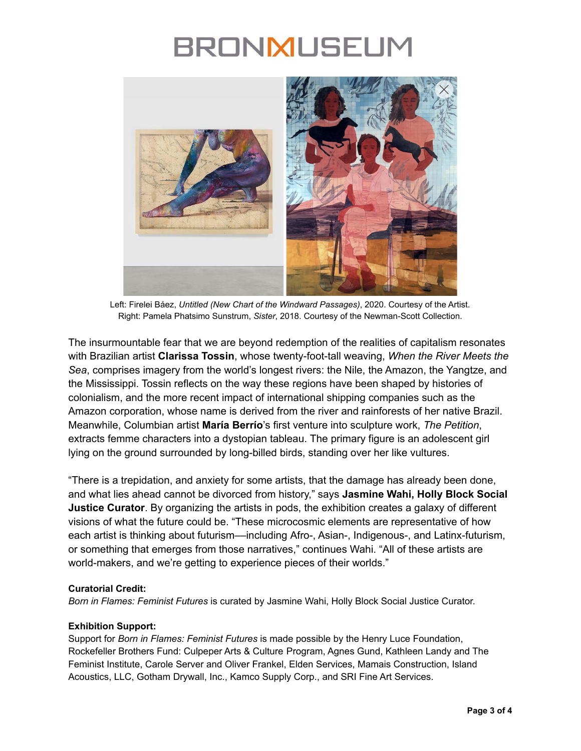

Left: Firelei Báez, *Untitled (New Chart of the Windward Passages)*, 2020. Courtesy of the Artist. Right: Pamela Phatsimo Sunstrum, *Sister*, 2018. Courtesy of the Newman-Scott Collection.

The insurmountable fear that we are beyond redemption of the realities of capitalism resonates with Brazilian artist **Clarissa Tossin**, whose twenty-foot-tall weaving, *When the River Meets the Sea*, comprises imagery from the world's longest rivers: the Nile, the Amazon, the Yangtze, and the Mississippi. Tossin reflects on the way these regions have been shaped by histories of colonialism, and the more recent impact of international shipping companies such as the Amazon corporation, whose name is derived from the river and rainforests of her native Brazil. Meanwhile, Columbian artist **María Berrío**'s first venture into sculpture work, *The Petition*, extracts femme characters into a dystopian tableau. The primary figure is an adolescent girl lying on the ground surrounded by long-billed birds, standing over her like vultures.

"There is a trepidation, and anxiety for some artists, that the damage has already been done, and what lies ahead cannot be divorced from history," says **Jasmine Wahi, Holly Block Social Justice Curator**. By organizing the artists in pods, the exhibition creates a galaxy of different visions of what the future could be. "These microcosmic elements are representative of how each artist is thinking about futurism––including Afro-, Asian-, Indigenous-, and Latinx-futurism, or something that emerges from those narratives," continues Wahi. "All of these artists are world-makers, and we're getting to experience pieces of their worlds."

### **Curatorial Credit:**

*Born in Flames: Feminist Futures* is curated by Jasmine Wahi, Holly Block Social Justice Curator.

### **Exhibition Support:**

Support for *Born in Flames: Feminist Futures* is made possible by the Henry Luce Foundation, Rockefeller Brothers Fund: Culpeper Arts & Culture Program, Agnes Gund, Kathleen Landy and The Feminist Institute, Carole Server and Oliver Frankel, Elden Services, Mamais Construction, Island Acoustics, LLC, Gotham Drywall, Inc., Kamco Supply Corp., and SRI Fine Art Services.